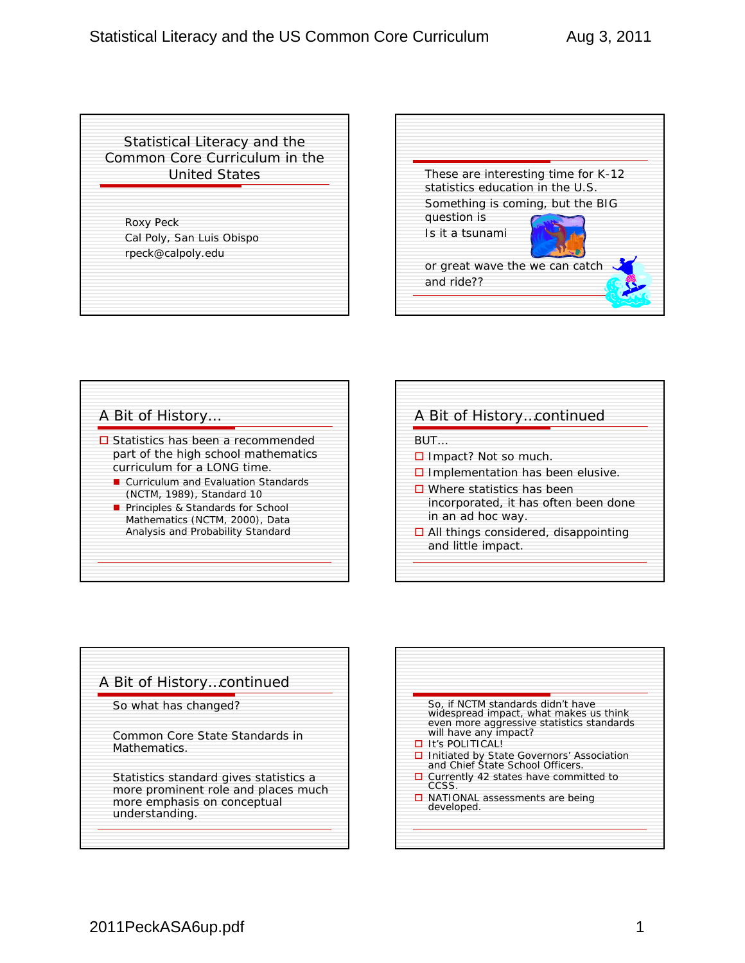Statistical Literacy and the Common Core Curriculum in the United States

Roxy Peck

Cal Poly, San Luis Obispo rpeck@calpoly.edu



## A Bit of History… □ Statistics has been a recommended part of the high school mathematics curriculum for a LONG time. *Curriculum and Evaluation Standards* (NCTM, 1989), Standard 10 *Principles & Standards for School Mathematics* (NCTM, 2000), Data Analysis and Probability Standard

## A Bit of History…continued BUT…  $\square$  Impact? Not so much.  $\square$  Implementation has been elusive.  $\square$  Where statistics has been incorporated, it has often been done in an ad hoc way.  $\Box$  All things considered, disappointing and little impact.

## A Bit of History…continued So what has changed? Common Core State Standards in Mathematics. Statistics standard gives statistics a more prominent role and places much more emphasis on conceptual understanding.

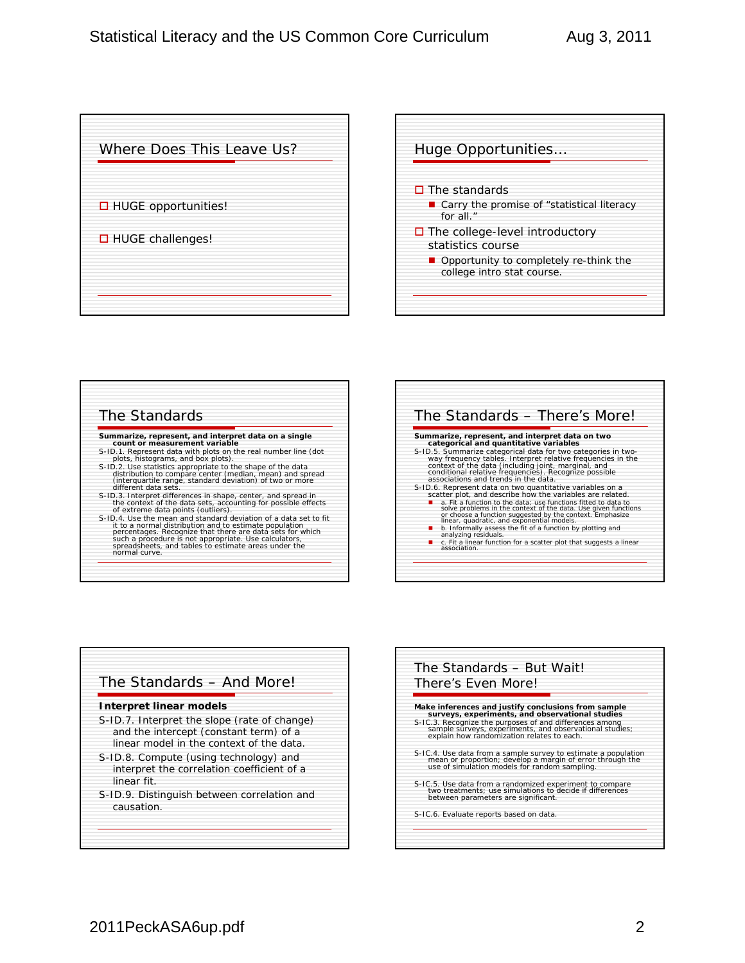